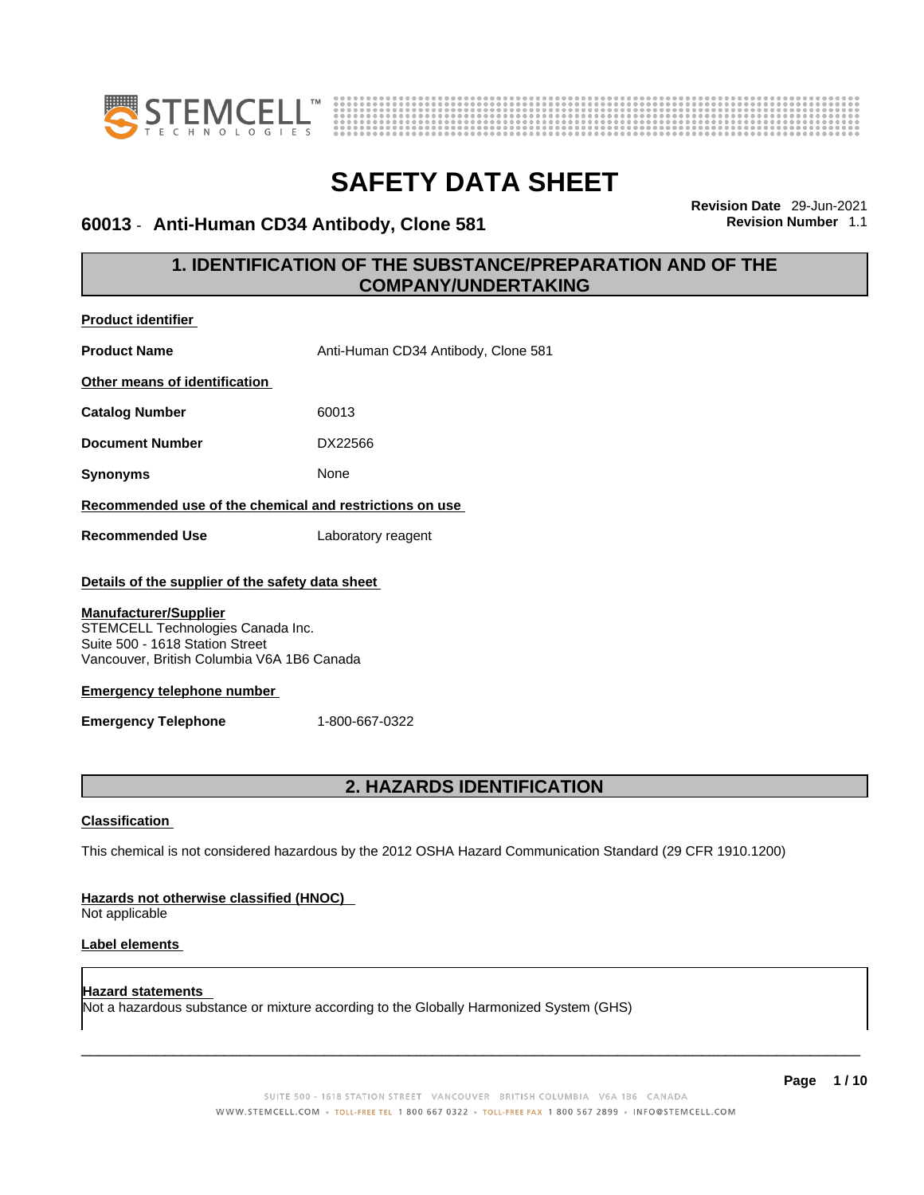



### **60013 • Anti-Human CD34 Antibody, Clone 581**

**Revision Date** 29-Jun-2021

### **1. IDENTIFICATION OF THE SUBSTANCE/PREPARATION AND OF THE COMPANY/UNDERTAKING**

| Product identifier                                                                                                                                                                                     |                                     |  |
|--------------------------------------------------------------------------------------------------------------------------------------------------------------------------------------------------------|-------------------------------------|--|
| <b>Product Name</b>                                                                                                                                                                                    | Anti-Human CD34 Antibody, Clone 581 |  |
| Other means of identification                                                                                                                                                                          |                                     |  |
| <b>Catalog Number</b>                                                                                                                                                                                  | 60013                               |  |
| <b>Document Number</b>                                                                                                                                                                                 | DX22566                             |  |
| <b>Synonyms</b>                                                                                                                                                                                        | None                                |  |
| Recommended use of the chemical and restrictions on use                                                                                                                                                |                                     |  |
| Laboratory reagent<br><b>Recommended Use</b>                                                                                                                                                           |                                     |  |
| Details of the supplier of the safety data sheet<br><b>Manufacturer/Supplier</b><br>STEMCELL Technologies Canada Inc.<br>Suite 500 - 1618 Station Street<br>Vancouver, British Columbia V6A 1B6 Canada |                                     |  |
| <b>Emergency telephone number</b>                                                                                                                                                                      |                                     |  |
| <b>Emergency Telephone</b>                                                                                                                                                                             | 1-800-667-0322                      |  |
|                                                                                                                                                                                                        |                                     |  |
| 2. HAZARDS IDENTIFICATION                                                                                                                                                                              |                                     |  |
| <b>Classification</b>                                                                                                                                                                                  |                                     |  |
| This chemical is not considered hazardous by the 2012 OSHA Hazard Communication Standard (29 CFR 1910.1200)                                                                                            |                                     |  |
| Hazards not otherwise classified (HNOC)<br>Not applicable                                                                                                                                              |                                     |  |
| Label elements                                                                                                                                                                                         |                                     |  |
| <b>Hazard statements</b><br>Not a hazardous substance or mixture according to the Globally Harmonized System (GHS)                                                                                     |                                     |  |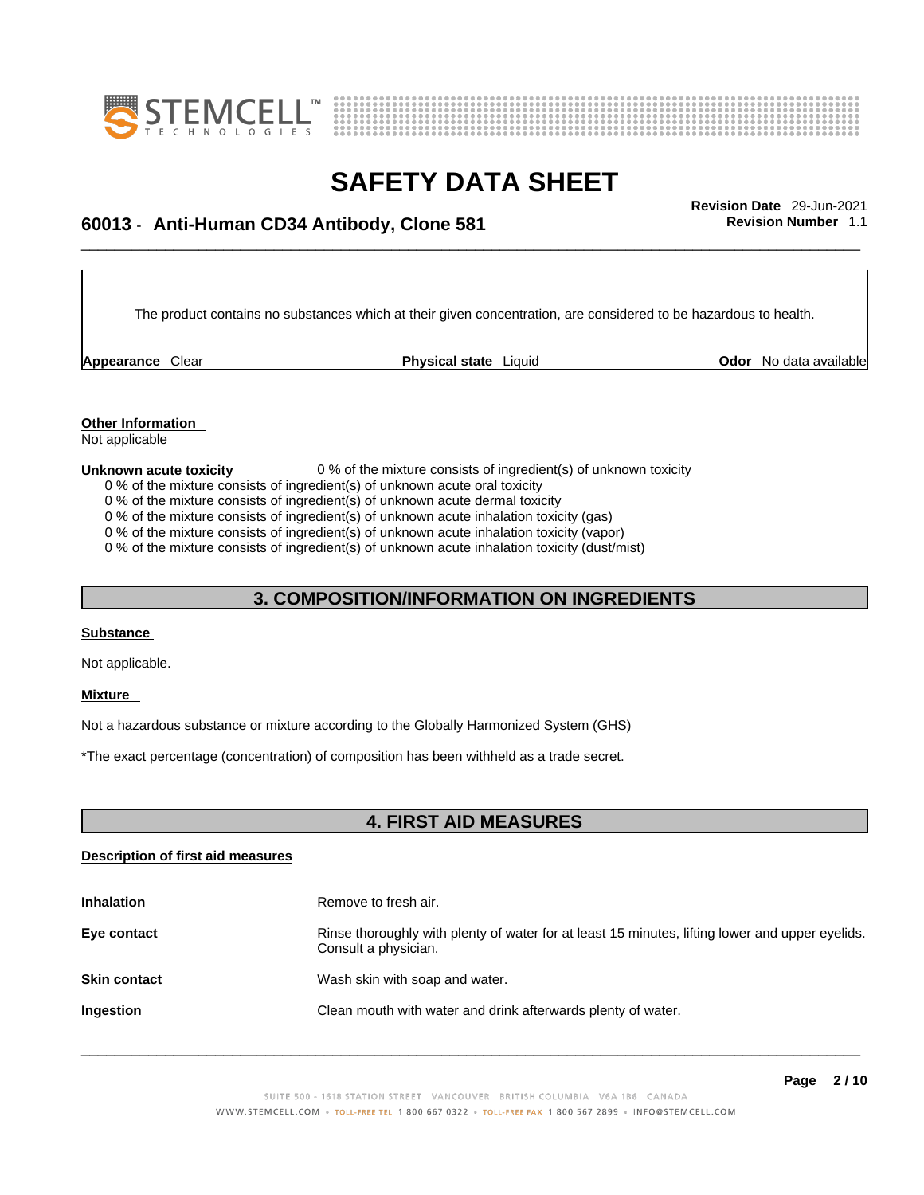



# \_\_\_\_\_\_\_\_\_\_\_\_\_\_\_\_\_\_\_\_\_\_\_\_\_\_\_\_\_\_\_\_\_\_\_\_\_\_\_\_\_\_\_\_\_\_\_\_\_\_\_\_\_\_\_\_\_\_\_\_\_\_\_\_\_\_\_\_\_\_\_\_\_\_\_\_\_\_\_\_\_\_\_\_\_\_\_\_\_\_\_\_\_ **Revision Date** 29-Jun-2021 **60013** - **Anti-Human CD34 Antibody, Clone 581 Revision Number** 1.1

The product contains no substances which at their given concentration, are considered to be hazardous to health.

**Appearance** Clear **Physical state** Liquid

**Odor** No data available

**Other Information**  Not applicable

**Unknown acute toxicity** 0 % of the mixture consists of ingredient(s) of unknown toxicity

- 0 % of the mixture consists of ingredient(s) of unknown acute oral toxicity
- 0 % of the mixture consists of ingredient(s) of unknown acute dermal toxicity

0 % of the mixture consists of ingredient(s) of unknown acute inhalation toxicity (gas)

0 % of the mixture consists of ingredient(s) of unknown acute inhalation toxicity (vapor)

0 % of the mixture consists of ingredient(s) of unknown acute inhalation toxicity (dust/mist)

#### **3. COMPOSITION/INFORMATION ON INGREDIENTS**

#### **Substance**

Not applicable.

#### **Mixture**

Not a hazardous substance or mixture according to the Globally Harmonized System (GHS)

\*The exact percentage (concentration) of composition has been withheld as a trade secret.

#### **4. FIRST AID MEASURES**

#### **Description of first aid measures**

| <b>Inhalation</b>   | Remove to fresh air.                                                                                                    |
|---------------------|-------------------------------------------------------------------------------------------------------------------------|
| Eye contact         | Rinse thoroughly with plenty of water for at least 15 minutes, lifting lower and upper eyelids.<br>Consult a physician. |
| <b>Skin contact</b> | Wash skin with soap and water.                                                                                          |
| <b>Ingestion</b>    | Clean mouth with water and drink afterwards plenty of water.                                                            |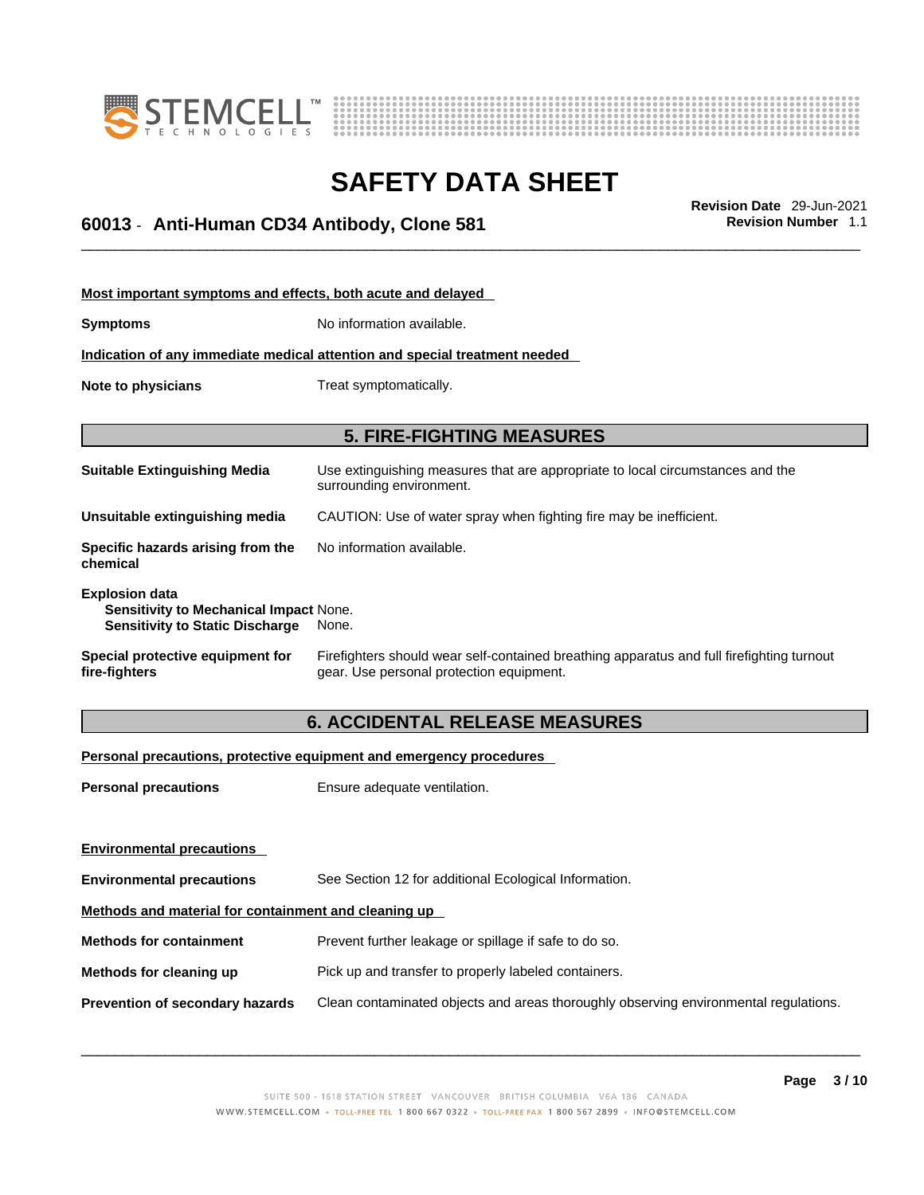



# \_\_\_\_\_\_\_\_\_\_\_\_\_\_\_\_\_\_\_\_\_\_\_\_\_\_\_\_\_\_\_\_\_\_\_\_\_\_\_\_\_\_\_\_\_\_\_\_\_\_\_\_\_\_\_\_\_\_\_\_\_\_\_\_\_\_\_\_\_\_\_\_\_\_\_\_\_\_\_\_\_\_\_\_\_\_\_\_\_\_\_\_\_ **Revision Date** 29-Jun-2021 **60013** - **Anti-Human CD34 Antibody, Clone 581 Revision Number** 1.1

| Most important symptoms and effects, both acute and delayed                                               |                                                                                                                                       |  |
|-----------------------------------------------------------------------------------------------------------|---------------------------------------------------------------------------------------------------------------------------------------|--|
| Symptoms                                                                                                  | No information available.                                                                                                             |  |
|                                                                                                           | <u>Indication of any immediate medical attention and special treatment needed</u>                                                     |  |
| Note to physicians                                                                                        | Treat symptomatically.                                                                                                                |  |
|                                                                                                           |                                                                                                                                       |  |
| <b>5. FIRE-FIGHTING MEASURES</b>                                                                          |                                                                                                                                       |  |
| Suitable Extinguishing Media                                                                              | Use extinguishing measures that are appropriate to local circumstances and the<br>surrounding environment.                            |  |
| Unsuitable extinguishing media                                                                            | CAUTION: Use of water spray when fighting fire may be inefficient.                                                                    |  |
| Specific hazards arising from the<br>chemical                                                             | No information available.                                                                                                             |  |
| <b>Explosion data</b><br>Sensitivity to Mechanical Impact None.<br><b>Sensitivity to Static Discharge</b> | None.                                                                                                                                 |  |
| Special protective equipment for<br>fire-fighters                                                         | Firefighters should wear self-contained breathing apparatus and full firefighting turnout<br>gear. Use personal protection equipment. |  |

### **6. ACCIDENTAL RELEASE MEASURES**

#### **Personal precautions, protective equipment and emergency procedures**

| <b>Personal precautions</b>                          | Ensure adequate ventilation.                                                         |  |
|------------------------------------------------------|--------------------------------------------------------------------------------------|--|
| <b>Environmental precautions</b>                     |                                                                                      |  |
| <b>Environmental precautions</b>                     | See Section 12 for additional Ecological Information.                                |  |
| Methods and material for containment and cleaning up |                                                                                      |  |
| <b>Methods for containment</b>                       | Prevent further leakage or spillage if safe to do so.                                |  |
| Methods for cleaning up                              | Pick up and transfer to properly labeled containers.                                 |  |
| <b>Prevention of secondary hazards</b>               | Clean contaminated objects and areas thoroughly observing environmental regulations. |  |
|                                                      |                                                                                      |  |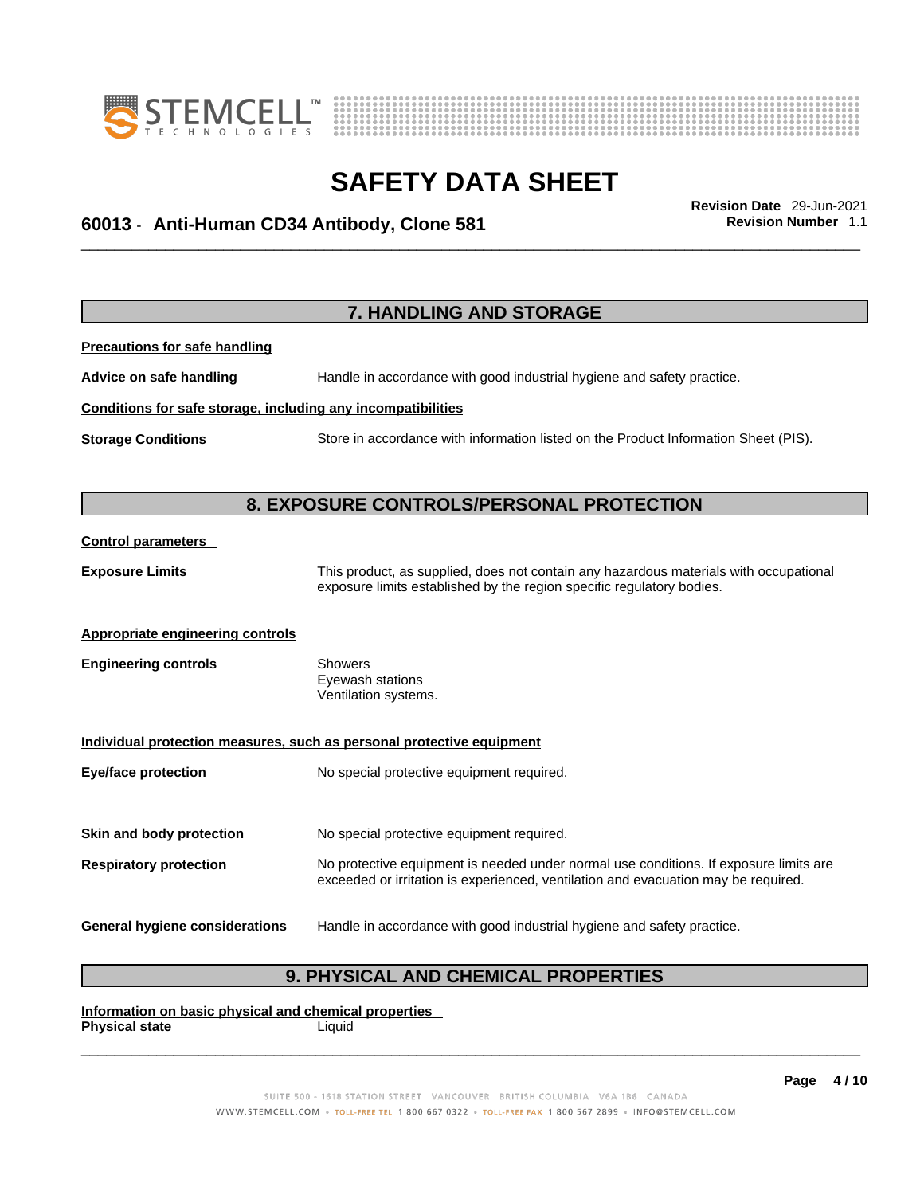



# \_\_\_\_\_\_\_\_\_\_\_\_\_\_\_\_\_\_\_\_\_\_\_\_\_\_\_\_\_\_\_\_\_\_\_\_\_\_\_\_\_\_\_\_\_\_\_\_\_\_\_\_\_\_\_\_\_\_\_\_\_\_\_\_\_\_\_\_\_\_\_\_\_\_\_\_\_\_\_\_\_\_\_\_\_\_\_\_\_\_\_\_\_ **Revision Date** 29-Jun-2021 **60013** - **Anti-Human CD34 Antibody, Clone 581 Revision Number** 1.1

|                                                              | 7. HANDLING AND STORAGE                                                                                                                                                     |
|--------------------------------------------------------------|-----------------------------------------------------------------------------------------------------------------------------------------------------------------------------|
| <b>Precautions for safe handling</b>                         |                                                                                                                                                                             |
| Advice on safe handling                                      | Handle in accordance with good industrial hygiene and safety practice.                                                                                                      |
| Conditions for safe storage, including any incompatibilities |                                                                                                                                                                             |
| <b>Storage Conditions</b>                                    | Store in accordance with information listed on the Product Information Sheet (PIS).                                                                                         |
|                                                              | 8. EXPOSURE CONTROLS/PERSONAL PROTECTION                                                                                                                                    |
| <b>Control parameters</b>                                    |                                                                                                                                                                             |
| <b>Exposure Limits</b>                                       | This product, as supplied, does not contain any hazardous materials with occupational<br>exposure limits established by the region specific regulatory bodies.              |
| <b>Appropriate engineering controls</b>                      |                                                                                                                                                                             |
| <b>Engineering controls</b>                                  | <b>Showers</b><br>Eyewash stations<br>Ventilation systems.                                                                                                                  |
|                                                              | Individual protection measures, such as personal protective equipment                                                                                                       |
| <b>Eye/face protection</b>                                   | No special protective equipment required.                                                                                                                                   |
| Skin and body protection                                     | No special protective equipment required.                                                                                                                                   |
| <b>Respiratory protection</b>                                | No protective equipment is needed under normal use conditions. If exposure limits are<br>exceeded or irritation is experienced, ventilation and evacuation may be required. |
| <b>General hygiene considerations</b>                        | Handle in accordance with good industrial hygiene and safety practice.                                                                                                      |

### **9. PHYSICAL AND CHEMICAL PROPERTIES**

**Information on basic physical and chemical properties Physical state** Liquid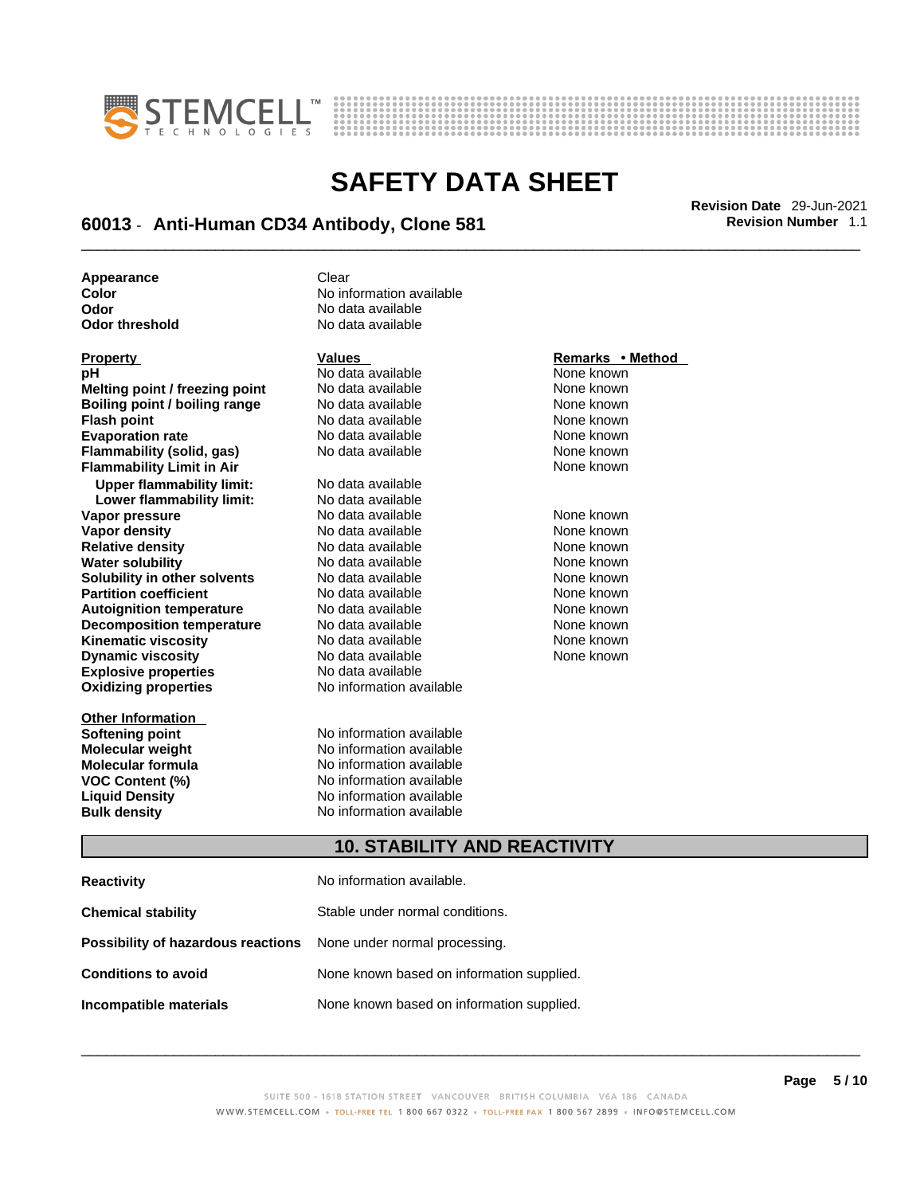



# \_\_\_\_\_\_\_\_\_\_\_\_\_\_\_\_\_\_\_\_\_\_\_\_\_\_\_\_\_\_\_\_\_\_\_\_\_\_\_\_\_\_\_\_\_\_\_\_\_\_\_\_\_\_\_\_\_\_\_\_\_\_\_\_\_\_\_\_\_\_\_\_\_\_\_\_\_\_\_\_\_\_\_\_\_\_\_\_\_\_\_\_\_ **Revision Date** 29-Jun-2021 **60013** - **Anti-Human CD34 Antibody, Clone 581 Revision Number** 1.1

**No data available** 

**Appearance** Clear<br> **Color** No inf **Color** No information available **Odor No data available**<br> **Odor threshold No data available** 

| <b>Property</b>                  | <b>Values</b>                       | Remarks • Method |
|----------------------------------|-------------------------------------|------------------|
| pH                               | No data available                   | None known       |
| Melting point / freezing point   | No data available                   | None known       |
| Boiling point / boiling range    | No data available                   | None known       |
| <b>Flash point</b>               | No data available                   | None known       |
| <b>Evaporation rate</b>          | No data available                   | None known       |
| <b>Flammability (solid, gas)</b> | No data available                   | None known       |
| <b>Flammability Limit in Air</b> |                                     | None known       |
| <b>Upper flammability limit:</b> | No data available                   |                  |
| Lower flammability limit:        | No data available                   |                  |
| Vapor pressure                   | No data available                   | None known       |
| <b>Vapor density</b>             | No data available                   | None known       |
| <b>Relative density</b>          | No data available                   | None known       |
| <b>Water solubility</b>          | No data available                   | None known       |
| Solubility in other solvents     | No data available                   | None known       |
| <b>Partition coefficient</b>     | No data available                   | None known       |
| <b>Autoignition temperature</b>  | No data available                   | None known       |
| <b>Decomposition temperature</b> | No data available                   | None known       |
| <b>Kinematic viscosity</b>       | No data available                   | None known       |
| <b>Dynamic viscosity</b>         | No data available                   | None known       |
| <b>Explosive properties</b>      | No data available                   |                  |
| <b>Oxidizing properties</b>      | No information available            |                  |
| <b>Other Information</b>         |                                     |                  |
| Softening point                  | No information available            |                  |
| <b>Molecular weight</b>          | No information available            |                  |
| <b>Molecular formula</b>         | No information available            |                  |
| <b>VOC Content (%)</b>           | No information available            |                  |
| <b>Liquid Density</b>            | No information available            |                  |
| <b>Bulk density</b>              | No information available            |                  |
|                                  | <b>10. STABILITY AND REACTIVITY</b> |                  |
|                                  |                                     |                  |

### **CTIVITY**

| <b>Reactivity</b>                                                       | No information available.                 |
|-------------------------------------------------------------------------|-------------------------------------------|
| <b>Chemical stability</b>                                               | Stable under normal conditions.           |
| <b>Possibility of hazardous reactions</b> None under normal processing. |                                           |
| <b>Conditions to avoid</b>                                              | None known based on information supplied. |
| Incompatible materials                                                  | None known based on information supplied. |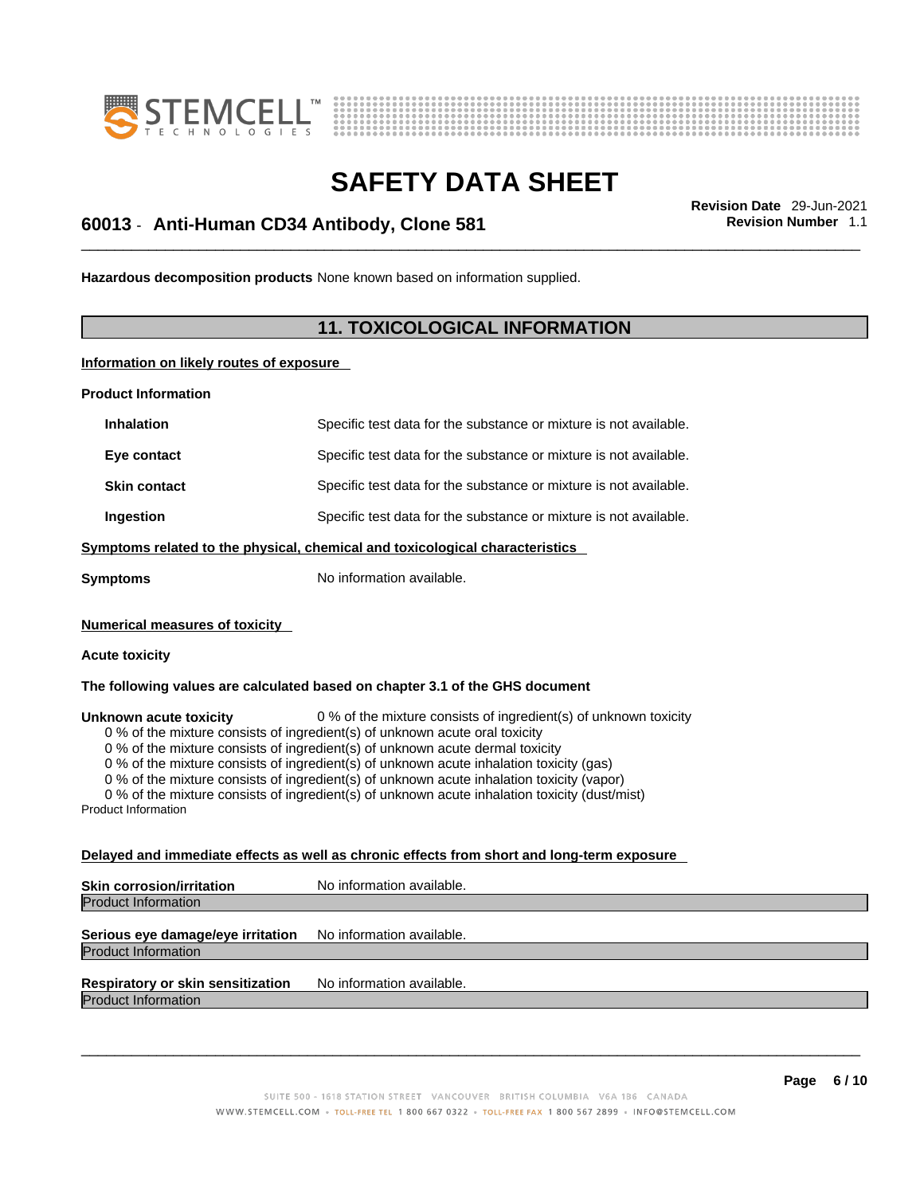



# \_\_\_\_\_\_\_\_\_\_\_\_\_\_\_\_\_\_\_\_\_\_\_\_\_\_\_\_\_\_\_\_\_\_\_\_\_\_\_\_\_\_\_\_\_\_\_\_\_\_\_\_\_\_\_\_\_\_\_\_\_\_\_\_\_\_\_\_\_\_\_\_\_\_\_\_\_\_\_\_\_\_\_\_\_\_\_\_\_\_\_\_\_ **Revision Date** 29-Jun-2021 **60013** - **Anti-Human CD34 Antibody, Clone 581 Revision Number** 1.1

**Hazardous decomposition products** None known based on information supplied.

#### **11. TOXICOLOGICAL INFORMATION**

**Information on likely routes of exposure**

**Product Information**

| <b>Inhalation</b>                                                            | Specific test data for the substance or mixture is not available. |  |
|------------------------------------------------------------------------------|-------------------------------------------------------------------|--|
| Eye contact                                                                  | Specific test data for the substance or mixture is not available. |  |
| <b>Skin contact</b>                                                          | Specific test data for the substance or mixture is not available. |  |
| Ingestion                                                                    | Specific test data for the substance or mixture is not available. |  |
| Symptoms related to the physical, chemical and toxicological characteristics |                                                                   |  |
| Symptoms                                                                     | No information available.                                         |  |

**Numerical measures of toxicity**

#### **Acute toxicity**

**The following values are calculated based on chapter 3.1 of the GHS document**

**Unknown acute toxicity** 0 % of the mixture consists of ingredient(s) of unknown toxicity

0 % of the mixture consists of ingredient(s) of unknown acute oral toxicity

0 % of the mixture consists of ingredient(s) of unknown acute dermal toxicity

0 % of the mixture consists of ingredient(s) of unknown acute inhalation toxicity (gas)

0 % of the mixture consists of ingredient(s) of unknown acute inhalation toxicity (vapor)

0 % of the mixture consists of ingredient(s) of unknown acute inhalation toxicity (dust/mist)

Product Information

#### **Delayed and immediate effects as well as chronic effects from short and long-term exposure**

| <b>Skin corrosion/irritation</b> | No information available. |
|----------------------------------|---------------------------|
| <b>Product Information</b>       |                           |
|                                  |                           |

#### **Serious eye damage/eye irritation** No information available. Product Information

### **Respiratory or skin sensitization** No information available.

Product Information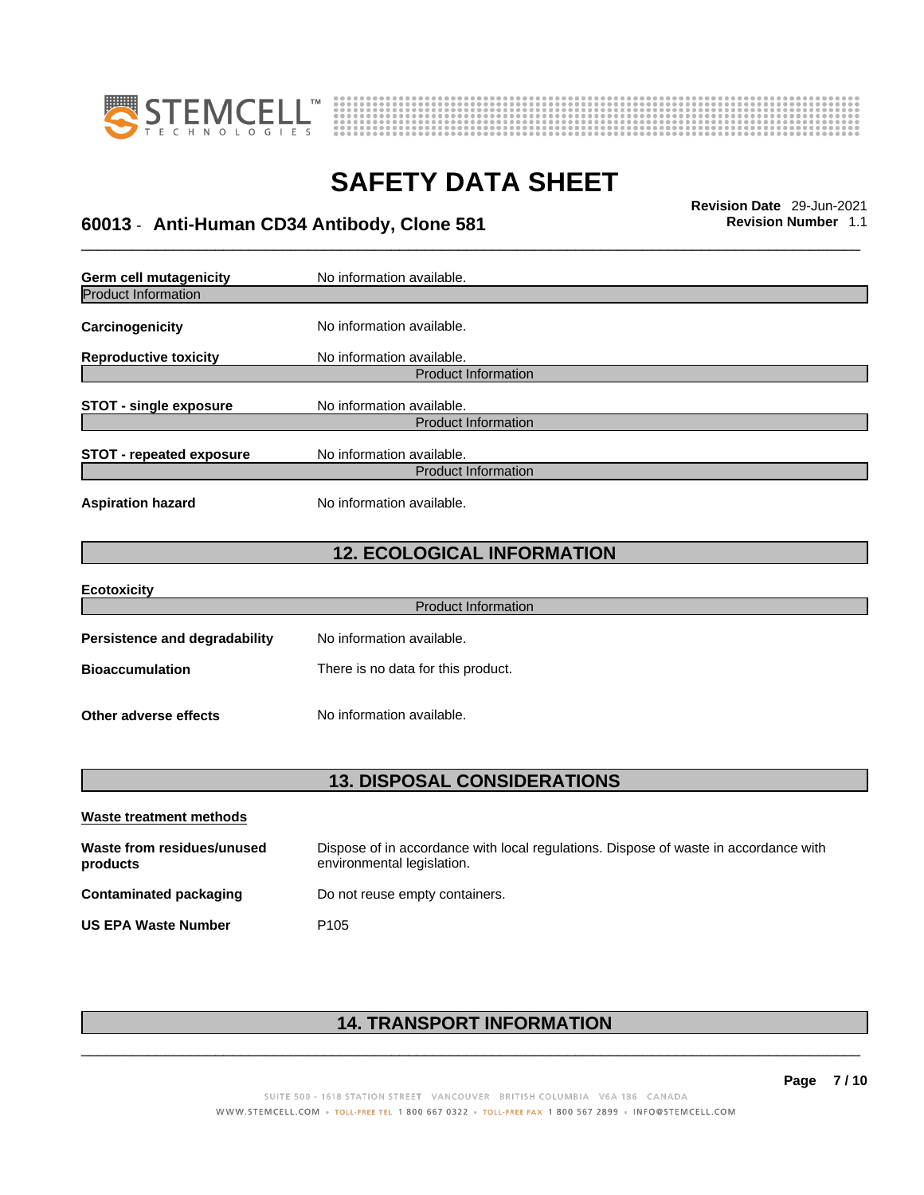



# \_\_\_\_\_\_\_\_\_\_\_\_\_\_\_\_\_\_\_\_\_\_\_\_\_\_\_\_\_\_\_\_\_\_\_\_\_\_\_\_\_\_\_\_\_\_\_\_\_\_\_\_\_\_\_\_\_\_\_\_\_\_\_\_\_\_\_\_\_\_\_\_\_\_\_\_\_\_\_\_\_\_\_\_\_\_\_\_\_\_\_\_\_ **Revision Date** 29-Jun-2021 **60013** - **Anti-Human CD34 Antibody, Clone 581 Revision Number** 1.1

**Germ cell mutagenicity** No information available. Product Information **Carcinogenicity** No information available. **Reproductive toxicity** No information available. Product Information **STOT** - single exposure No information available. Product Information **STOT** - **repeated exposure** No information available. Product Information **Aspiration hazard** No information available. **12. ECOLOGICAL INFORMATION Ecotoxicity**  Product Information **Persistence and degradability** No information available. **Bioaccumulation** There is no data for this product.

**Other adverse effects** No information available.

**13. DISPOSAL CONSIDERATIONS** 

| Waste treatment methods                |                                                                                                                    |  |
|----------------------------------------|--------------------------------------------------------------------------------------------------------------------|--|
| Waste from residues/unused<br>products | Dispose of in accordance with local regulations. Dispose of waste in accordance with<br>environmental legislation. |  |
| Contaminated packaging                 | Do not reuse empty containers.                                                                                     |  |
| <b>US EPA Waste Number</b>             | P <sub>105</sub>                                                                                                   |  |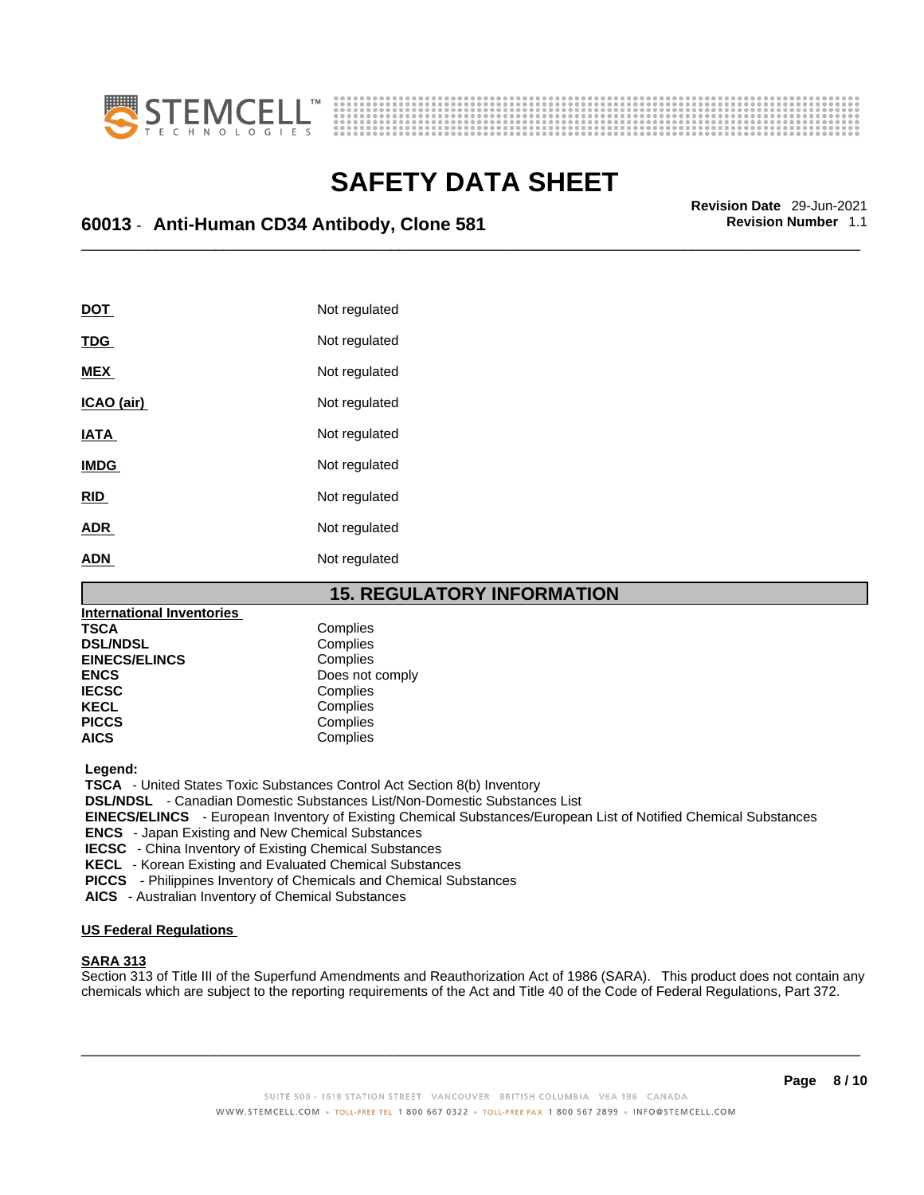



# \_\_\_\_\_\_\_\_\_\_\_\_\_\_\_\_\_\_\_\_\_\_\_\_\_\_\_\_\_\_\_\_\_\_\_\_\_\_\_\_\_\_\_\_\_\_\_\_\_\_\_\_\_\_\_\_\_\_\_\_\_\_\_\_\_\_\_\_\_\_\_\_\_\_\_\_\_\_\_\_\_\_\_\_\_\_\_\_\_\_\_\_\_ **Revision Date** 29-Jun-2021 **60013** - **Anti-Human CD34 Antibody, Clone 581 Revision Number** 1.1

| DOT         | Not regulated |
|-------------|---------------|
| <b>TDG</b>  | Not regulated |
| <b>MEX</b>  | Not regulated |
| ICAO (air)  | Not regulated |
| <b>IATA</b> | Not regulated |
| <b>IMDG</b> | Not regulated |
| <b>RID</b>  | Not regulated |
| <b>ADR</b>  | Not regulated |
| <b>ADN</b>  | Not regulated |

#### **15. REGULATORY INFORMATION**

| <b>International Inventories</b> |                 |
|----------------------------------|-----------------|
| <b>TSCA</b>                      | Complies        |
| <b>DSL/NDSL</b>                  | Complies        |
| <b>EINECS/ELINCS</b>             | Complies        |
| <b>ENCS</b>                      | Does not comply |
| <b>IECSC</b>                     | Complies        |
| <b>KECL</b>                      | Complies        |
| <b>PICCS</b>                     | Complies        |
| <b>AICS</b>                      | Complies        |

 **Legend:** 

 **TSCA** - United States Toxic Substances Control Act Section 8(b) Inventory

 **DSL/NDSL** - Canadian Domestic Substances List/Non-Domestic Substances List

 **EINECS/ELINCS** - European Inventory of Existing Chemical Substances/European List of Notified Chemical Substances

 **ENCS** - Japan Existing and New Chemical Substances

 **IECSC** - China Inventory of Existing Chemical Substances

 **KECL** - Korean Existing and Evaluated Chemical Substances

 **PICCS** - Philippines Inventory of Chemicals and Chemical Substances

 **AICS** - Australian Inventory of Chemical Substances

#### **US Federal Regulations**

#### **SARA 313**

Section 313 of Title III of the Superfund Amendments and Reauthorization Act of 1986 (SARA). This product does not contain any chemicals which are subject to the reporting requirements of the Act and Title 40 of the Code of Federal Regulations, Part 372.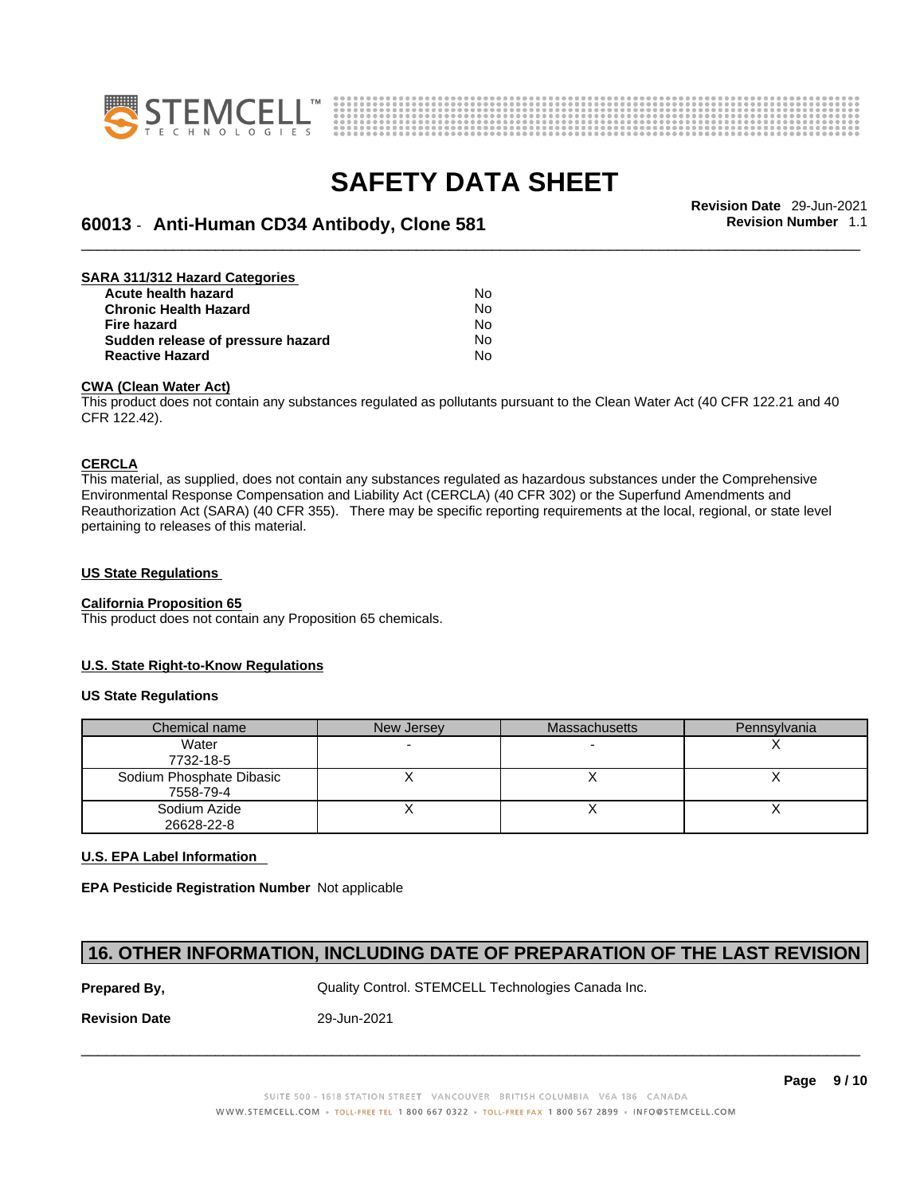



# \_\_\_\_\_\_\_\_\_\_\_\_\_\_\_\_\_\_\_\_\_\_\_\_\_\_\_\_\_\_\_\_\_\_\_\_\_\_\_\_\_\_\_\_\_\_\_\_\_\_\_\_\_\_\_\_\_\_\_\_\_\_\_\_\_\_\_\_\_\_\_\_\_\_\_\_\_\_\_\_\_\_\_\_\_\_\_\_\_\_\_\_\_ **Revision Date** 29-Jun-2021 **60013** - **Anti-Human CD34 Antibody, Clone 581 Revision Number** 1.1

| SARA 311/312 Hazard Categories    |    |  |
|-----------------------------------|----|--|
| Acute health hazard               | N٥ |  |
| <b>Chronic Health Hazard</b>      | No |  |
| <b>Fire hazard</b>                | No |  |
| Sudden release of pressure hazard | No |  |
| <b>Reactive Hazard</b>            | No |  |

#### **CWA (Clean WaterAct)**

This product does not contain any substances regulated as pollutants pursuant to the Clean Water Act (40 CFR 122.21 and 40 CFR 122.42).

#### **CERCLA**

This material, as supplied, does not contain any substances regulated as hazardous substances under the Comprehensive Environmental Response Compensation and Liability Act (CERCLA) (40 CFR 302) or the Superfund Amendments and Reauthorization Act (SARA) (40 CFR 355). There may be specific reporting requirements at the local, regional, or state level pertaining to releases of this material.

#### **US State Regulations**

#### **California Proposition 65**

This product does not contain any Proposition 65 chemicals.

#### **U.S. State Right-to-Know Regulations**

#### **US State Regulations**

| Chemical name            | New Jersey | <b>Massachusetts</b> | Pennsylvania |
|--------------------------|------------|----------------------|--------------|
| Water                    |            |                      |              |
| 7732-18-5                |            |                      |              |
| Sodium Phosphate Dibasic |            |                      |              |
| 7558-79-4                |            |                      |              |
| Sodium Azide             |            |                      |              |
| 26628-22-8               |            |                      |              |

#### **U.S. EPA Label Information**

**EPA Pesticide Registration Number** Not applicable

#### **16. OTHER INFORMATION, INCLUDING DATE OF PREPARATION OF THE LAST REVISION**

**Prepared By, State Control. STEMCELL Technologies Canada Inc.** Canada Inc.

**Revision Date** 29-Jun-2021